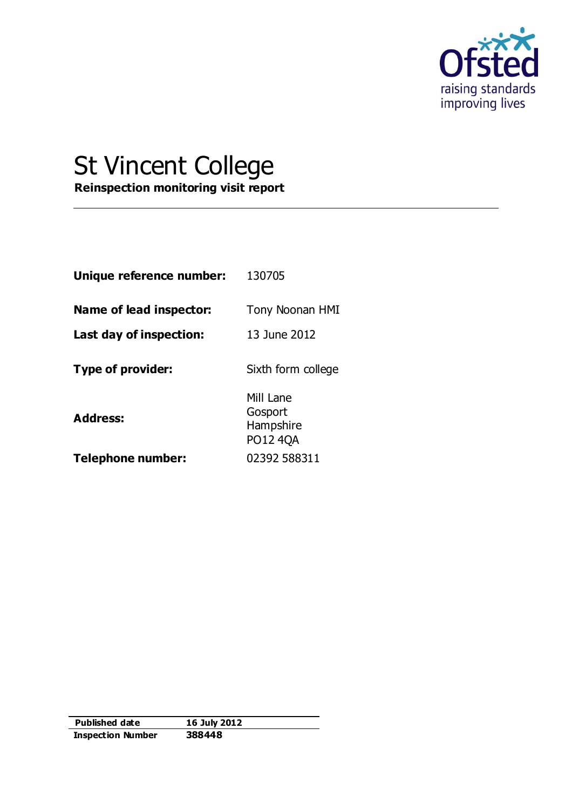

# St Vincent College

**Reinspection monitoring visit report**

| Unique reference number: | 130705                                        |
|--------------------------|-----------------------------------------------|
| Name of lead inspector:  | Tony Noonan HMI                               |
| Last day of inspection:  | 13 June 2012                                  |
| Type of provider:        | Sixth form college                            |
| <b>Address:</b>          | Mill Lane<br>Gosport<br>Hampshire<br>PO12 4QA |
| Telephone number:        | 02392 588311                                  |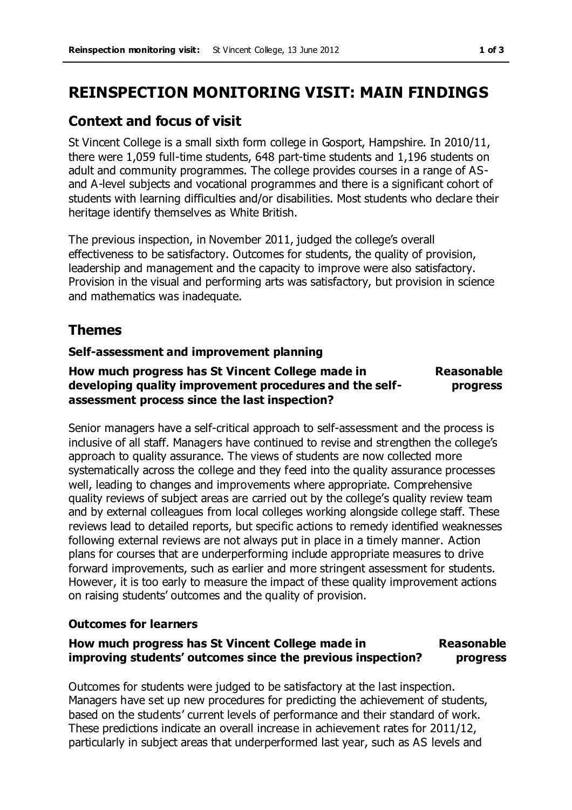# **REINSPECTION MONITORING VISIT: MAIN FINDINGS**

## **Context and focus of visit**

St Vincent College is a small sixth form college in Gosport, Hampshire. In 2010/11, there were 1,059 full-time students, 648 part-time students and 1,196 students on adult and community programmes. The college provides courses in a range of ASand A-level subjects and vocational programmes and there is a significant cohort of students with learning difficulties and/or disabilities. Most students who declare their heritage identify themselves as White British.

The previous inspection, in November 2011, judged the college's overall effectiveness to be satisfactory. Outcomes for students, the quality of provision, leadership and management and the capacity to improve were also satisfactory. Provision in the visual and performing arts was satisfactory, but provision in science and mathematics was inadequate.

# **Themes**

## **Self-assessment and improvement planning**

## **How much progress has St Vincent College made in developing quality improvement procedures and the selfassessment process since the last inspection?**

**Reasonable progress** 

Senior managers have a self-critical approach to self-assessment and the process is inclusive of all staff. Managers have continued to revise and strengthen the college's approach to quality assurance. The views of students are now collected more systematically across the college and they feed into the quality assurance processes well, leading to changes and improvements where appropriate. Comprehensive quality reviews of subject areas are carried out by the college's quality review team and by external colleagues from local colleges working alongside college staff. These reviews lead to detailed reports, but specific actions to remedy identified weaknesses following external reviews are not always put in place in a timely manner. Action plans for courses that are underperforming include appropriate measures to drive forward improvements, such as earlier and more stringent assessment for students. However, it is too early to measure the impact of these quality improvement actions on raising students' outcomes and the quality of provision.

## **Outcomes for learners**

#### **How much progress has St Vincent College made in improving students' outcomes since the previous inspection? Reasonable progress**

Outcomes for students were judged to be satisfactory at the last inspection. Managers have set up new procedures for predicting the achievement of students, based on the students' current levels of performance and their standard of work. These predictions indicate an overall increase in achievement rates for 2011/12, particularly in subject areas that underperformed last year, such as AS levels and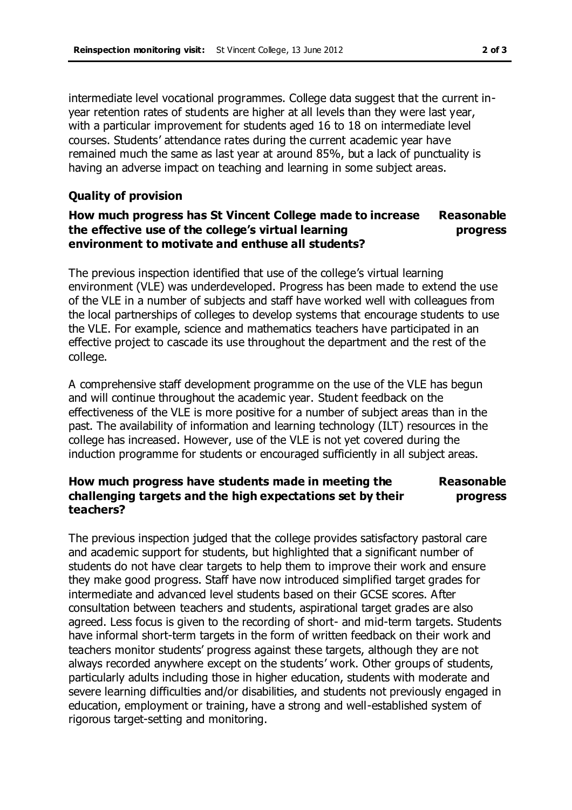intermediate level vocational programmes. College data suggest that the current inyear retention rates of students are higher at all levels than they were last year, with a particular improvement for students aged 16 to 18 on intermediate level courses. Students' attendance rates during the current academic year have remained much the same as last year at around 85%, but a lack of punctuality is having an adverse impact on teaching and learning in some subject areas.

## **Quality of provision**

#### **How much progress has St Vincent College made to increase the effective use of the college's virtual learning environment to motivate and enthuse all students? Reasonable progress**

The previous inspection identified that use of the college's virtual learning environment (VLE) was underdeveloped. Progress has been made to extend the use of the VLE in a number of subjects and staff have worked well with colleagues from the local partnerships of colleges to develop systems that encourage students to use the VLE. For example, science and mathematics teachers have participated in an effective project to cascade its use throughout the department and the rest of the college.

A comprehensive staff development programme on the use of the VLE has begun and will continue throughout the academic year. Student feedback on the effectiveness of the VLE is more positive for a number of subject areas than in the past. The availability of information and learning technology (ILT) resources in the college has increased. However, use of the VLE is not yet covered during the induction programme for students or encouraged sufficiently in all subject areas.

#### **How much progress have students made in meeting the challenging targets and the high expectations set by their teachers? Reasonable progress**

The previous inspection judged that the college provides satisfactory pastoral care and academic support for students, but highlighted that a significant number of students do not have clear targets to help them to improve their work and ensure they make good progress. Staff have now introduced simplified target grades for intermediate and advanced level students based on their GCSE scores. After consultation between teachers and students, aspirational target grades are also agreed. Less focus is given to the recording of short- and mid-term targets. Students have informal short-term targets in the form of written feedback on their work and teachers monitor students' progress against these targets, although they are not always recorded anywhere except on the students' work. Other groups of students, particularly adults including those in higher education, students with moderate and severe learning difficulties and/or disabilities, and students not previously engaged in education, employment or training, have a strong and well-established system of rigorous target-setting and monitoring.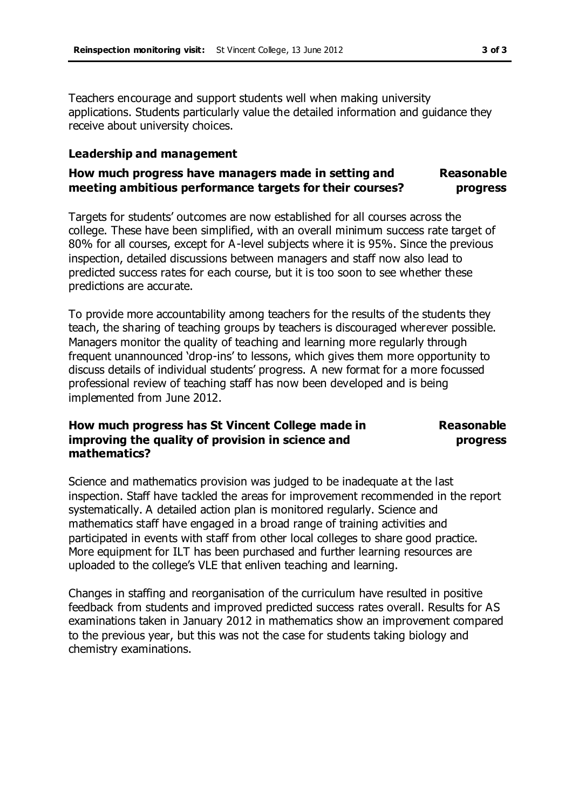Teachers encourage and support students well when making university applications. Students particularly value the detailed information and guidance they receive about university choices.

#### **Leadership and management**

#### **How much progress have managers made in setting and meeting ambitious performance targets for their courses? Reasonable progress**

Targets for students' outcomes are now established for all courses across the college. These have been simplified, with an overall minimum success rate target of 80% for all courses, except for A-level subjects where it is 95%. Since the previous inspection, detailed discussions between managers and staff now also lead to predicted success rates for each course, but it is too soon to see whether these predictions are accurate.

To provide more accountability among teachers for the results of the students they teach, the sharing of teaching groups by teachers is discouraged wherever possible. Managers monitor the quality of teaching and learning more regularly through frequent unannounced 'drop-ins' to lessons, which gives them more opportunity to discuss details of individual students' progress. A new format for a more focussed professional review of teaching staff has now been developed and is being implemented from June 2012.

#### **How much progress has St Vincent College made in improving the quality of provision in science and mathematics?**

#### **Reasonable progress**

Science and mathematics provision was judged to be inadequate at the last inspection. Staff have tackled the areas for improvement recommended in the report systematically. A detailed action plan is monitored regularly. Science and mathematics staff have engaged in a broad range of training activities and participated in events with staff from other local colleges to share good practice. More equipment for ILT has been purchased and further learning resources are uploaded to the college's VLE that enliven teaching and learning.

Changes in staffing and reorganisation of the curriculum have resulted in positive feedback from students and improved predicted success rates overall. Results for AS examinations taken in January 2012 in mathematics show an improvement compared to the previous year, but this was not the case for students taking biology and chemistry examinations.